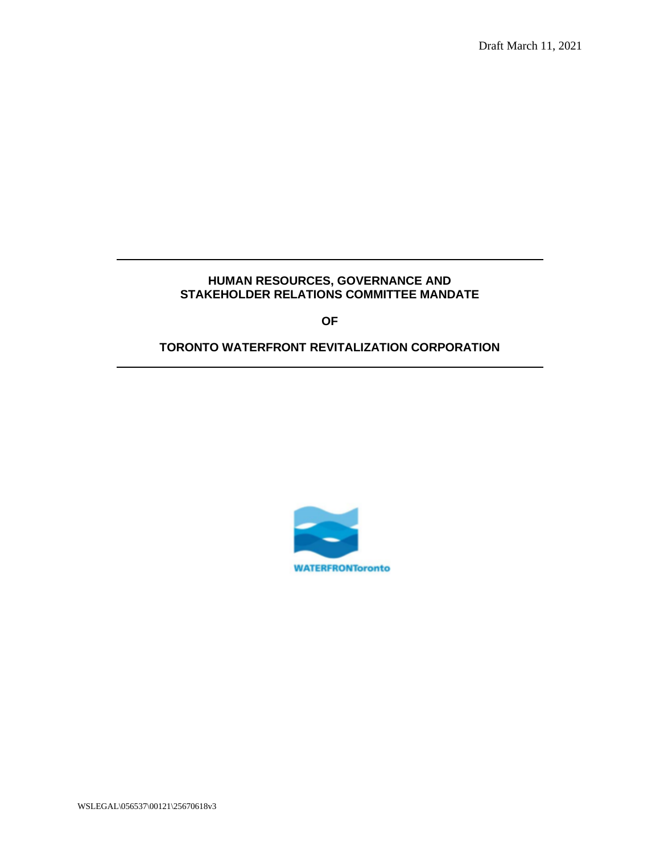# **HUMAN RESOURCES, GOVERNANCE AND STAKEHOLDER RELATIONS COMMITTEE MANDATE**

**OF**

## **TORONTO WATERFRONT REVITALIZATION CORPORATION**



WSLEGAL\056537\00121\25670618v3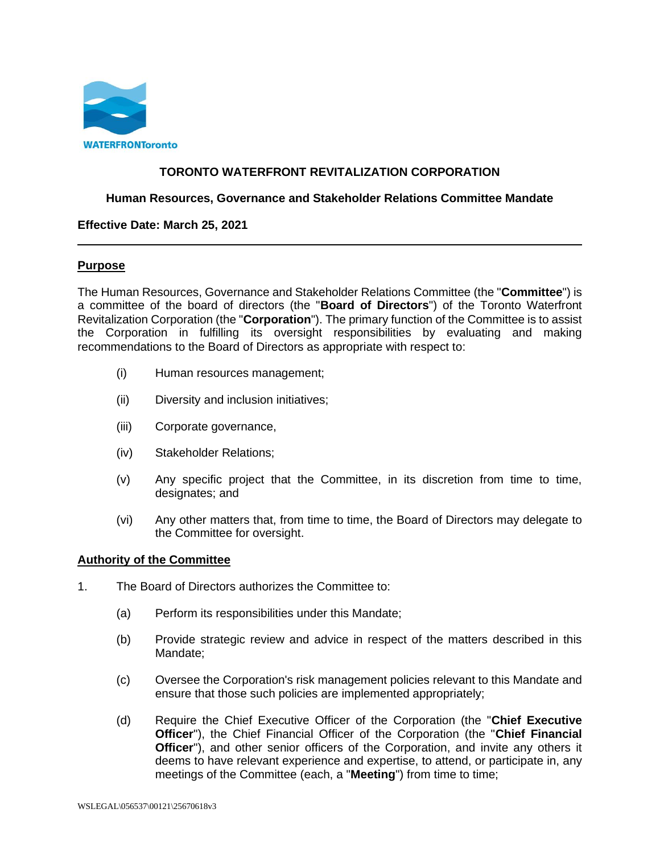

## **TORONTO WATERFRONT REVITALIZATION CORPORATION**

### **Human Resources, Governance and Stakeholder Relations Committee Mandate**

#### **Effective Date: March 25, 2021**

#### **Purpose**

The Human Resources, Governance and Stakeholder Relations Committee (the "**Committee**") is a committee of the board of directors (the "**Board of Directors**") of the Toronto Waterfront Revitalization Corporation (the "**Corporation**"). The primary function of the Committee is to assist the Corporation in fulfilling its oversight responsibilities by evaluating and making recommendations to the Board of Directors as appropriate with respect to:

- (i) Human resources management;
- (ii) Diversity and inclusion initiatives;
- (iii) Corporate governance,
- (iv) Stakeholder Relations;
- (v) Any specific project that the Committee, in its discretion from time to time, designates; and
- (vi) Any other matters that, from time to time, the Board of Directors may delegate to the Committee for oversight.

#### **Authority of the Committee**

- 1. The Board of Directors authorizes the Committee to:
	- (a) Perform its responsibilities under this Mandate;
	- (b) Provide strategic review and advice in respect of the matters described in this Mandate;
	- (c) Oversee the Corporation's risk management policies relevant to this Mandate and ensure that those such policies are implemented appropriately;
	- (d) Require the Chief Executive Officer of the Corporation (the "**Chief Executive Officer**"), the Chief Financial Officer of the Corporation (the "**Chief Financial Officer**"), and other senior officers of the Corporation, and invite any others it deems to have relevant experience and expertise, to attend, or participate in, any meetings of the Committee (each, a "**Meeting**") from time to time;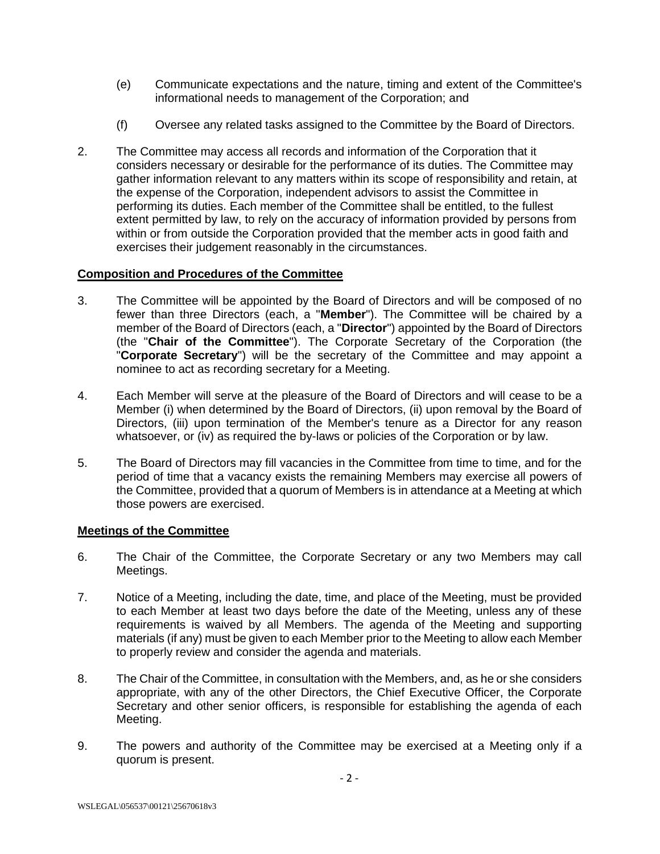- (e) Communicate expectations and the nature, timing and extent of the Committee's informational needs to management of the Corporation; and
- (f) Oversee any related tasks assigned to the Committee by the Board of Directors.
- 2. The Committee may access all records and information of the Corporation that it considers necessary or desirable for the performance of its duties. The Committee may gather information relevant to any matters within its scope of responsibility and retain, at the expense of the Corporation, independent advisors to assist the Committee in performing its duties. Each member of the Committee shall be entitled, to the fullest extent permitted by law, to rely on the accuracy of information provided by persons from within or from outside the Corporation provided that the member acts in good faith and exercises their judgement reasonably in the circumstances.

## **Composition and Procedures of the Committee**

- 3. The Committee will be appointed by the Board of Directors and will be composed of no fewer than three Directors (each, a "**Member**"). The Committee will be chaired by a member of the Board of Directors (each, a "**Director**") appointed by the Board of Directors (the "**Chair of the Committee**"). The Corporate Secretary of the Corporation (the "**Corporate Secretary**") will be the secretary of the Committee and may appoint a nominee to act as recording secretary for a Meeting.
- 4. Each Member will serve at the pleasure of the Board of Directors and will cease to be a Member (i) when determined by the Board of Directors, (ii) upon removal by the Board of Directors, (iii) upon termination of the Member's tenure as a Director for any reason whatsoever, or (iv) as required the by-laws or policies of the Corporation or by law.
- 5. The Board of Directors may fill vacancies in the Committee from time to time, and for the period of time that a vacancy exists the remaining Members may exercise all powers of the Committee, provided that a quorum of Members is in attendance at a Meeting at which those powers are exercised.

## **Meetings of the Committee**

- 6. The Chair of the Committee, the Corporate Secretary or any two Members may call Meetings.
- 7. Notice of a Meeting, including the date, time, and place of the Meeting, must be provided to each Member at least two days before the date of the Meeting, unless any of these requirements is waived by all Members. The agenda of the Meeting and supporting materials (if any) must be given to each Member prior to the Meeting to allow each Member to properly review and consider the agenda and materials.
- 8. The Chair of the Committee, in consultation with the Members, and, as he or she considers appropriate, with any of the other Directors, the Chief Executive Officer, the Corporate Secretary and other senior officers, is responsible for establishing the agenda of each Meeting.
- 9. The powers and authority of the Committee may be exercised at a Meeting only if a quorum is present.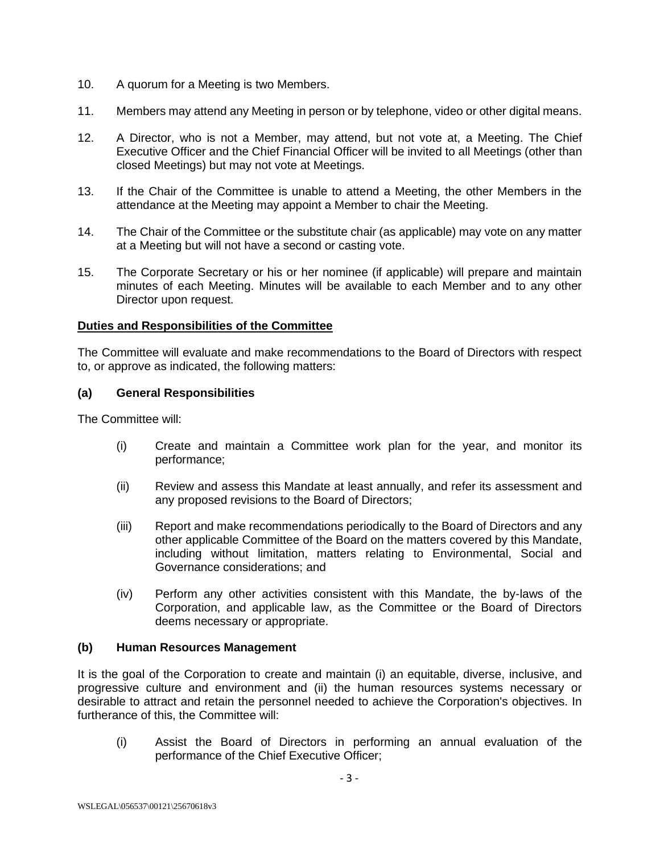- 10. A quorum for a Meeting is two Members.
- 11. Members may attend any Meeting in person or by telephone, video or other digital means.
- 12. A Director, who is not a Member, may attend, but not vote at, a Meeting. The Chief Executive Officer and the Chief Financial Officer will be invited to all Meetings (other than closed Meetings) but may not vote at Meetings.
- 13. If the Chair of the Committee is unable to attend a Meeting, the other Members in the attendance at the Meeting may appoint a Member to chair the Meeting.
- 14. The Chair of the Committee or the substitute chair (as applicable) may vote on any matter at a Meeting but will not have a second or casting vote.
- 15. The Corporate Secretary or his or her nominee (if applicable) will prepare and maintain minutes of each Meeting. Minutes will be available to each Member and to any other Director upon request.

#### **Duties and Responsibilities of the Committee**

The Committee will evaluate and make recommendations to the Board of Directors with respect to, or approve as indicated, the following matters:

#### **(a) General Responsibilities**

The Committee will:

- (i) Create and maintain a Committee work plan for the year, and monitor its performance;
- (ii) Review and assess this Mandate at least annually, and refer its assessment and any proposed revisions to the Board of Directors;
- (iii) Report and make recommendations periodically to the Board of Directors and any other applicable Committee of the Board on the matters covered by this Mandate, including without limitation, matters relating to Environmental, Social and Governance considerations; and
- (iv) Perform any other activities consistent with this Mandate, the by-laws of the Corporation, and applicable law, as the Committee or the Board of Directors deems necessary or appropriate.

#### **(b) Human Resources Management**

It is the goal of the Corporation to create and maintain (i) an equitable, diverse, inclusive, and progressive culture and environment and (ii) the human resources systems necessary or desirable to attract and retain the personnel needed to achieve the Corporation's objectives. In furtherance of this, the Committee will:

(i) Assist the Board of Directors in performing an annual evaluation of the performance of the Chief Executive Officer;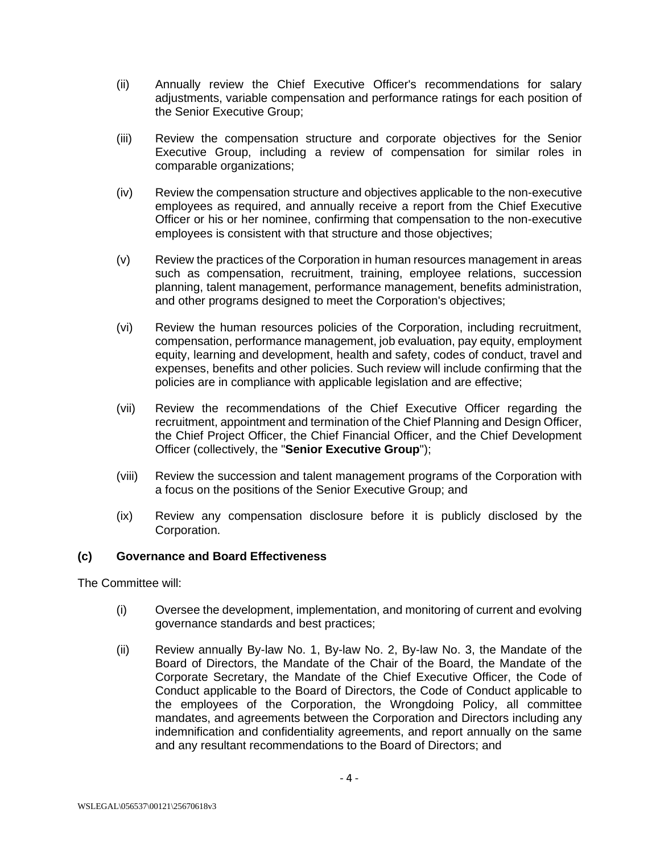- (ii) Annually review the Chief Executive Officer's recommendations for salary adjustments, variable compensation and performance ratings for each position of the Senior Executive Group;
- (iii) Review the compensation structure and corporate objectives for the Senior Executive Group, including a review of compensation for similar roles in comparable organizations;
- (iv) Review the compensation structure and objectives applicable to the non-executive employees as required, and annually receive a report from the Chief Executive Officer or his or her nominee, confirming that compensation to the non-executive employees is consistent with that structure and those objectives;
- (v) Review the practices of the Corporation in human resources management in areas such as compensation, recruitment, training, employee relations, succession planning, talent management, performance management, benefits administration, and other programs designed to meet the Corporation's objectives;
- (vi) Review the human resources policies of the Corporation, including recruitment, compensation, performance management, job evaluation, pay equity, employment equity, learning and development, health and safety, codes of conduct, travel and expenses, benefits and other policies. Such review will include confirming that the policies are in compliance with applicable legislation and are effective;
- (vii) Review the recommendations of the Chief Executive Officer regarding the recruitment, appointment and termination of the Chief Planning and Design Officer, the Chief Project Officer, the Chief Financial Officer, and the Chief Development Officer (collectively, the "**Senior Executive Group**");
- (viii) Review the succession and talent management programs of the Corporation with a focus on the positions of the Senior Executive Group; and
- (ix) Review any compensation disclosure before it is publicly disclosed by the Corporation.

## **(c) Governance and Board Effectiveness**

The Committee will:

- (i) Oversee the development, implementation, and monitoring of current and evolving governance standards and best practices;
- (ii) Review annually By-law No. 1, By-law No. 2, By-law No. 3, the Mandate of the Board of Directors, the Mandate of the Chair of the Board, the Mandate of the Corporate Secretary, the Mandate of the Chief Executive Officer, the Code of Conduct applicable to the Board of Directors, the Code of Conduct applicable to the employees of the Corporation, the Wrongdoing Policy, all committee mandates, and agreements between the Corporation and Directors including any indemnification and confidentiality agreements, and report annually on the same and any resultant recommendations to the Board of Directors; and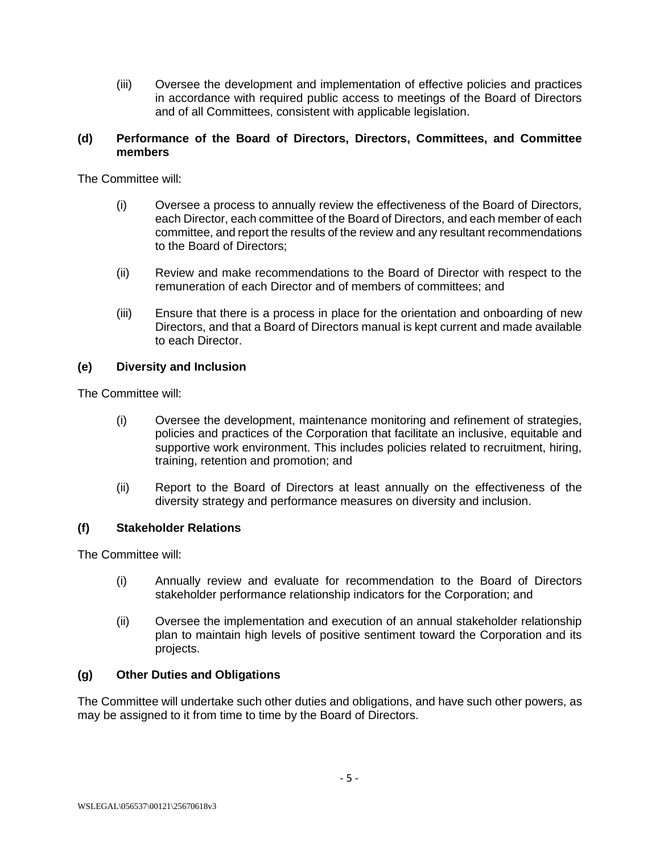(iii) Oversee the development and implementation of effective policies and practices in accordance with required public access to meetings of the Board of Directors and of all Committees, consistent with applicable legislation.

## **(d) Performance of the Board of Directors, Directors, Committees, and Committee members**

The Committee will:

- (i) Oversee a process to annually review the effectiveness of the Board of Directors, each Director, each committee of the Board of Directors, and each member of each committee, and report the results of the review and any resultant recommendations to the Board of Directors;
- (ii) Review and make recommendations to the Board of Director with respect to the remuneration of each Director and of members of committees; and
- (iii) Ensure that there is a process in place for the orientation and onboarding of new Directors, and that a Board of Directors manual is kept current and made available to each Director.

## **(e) Diversity and Inclusion**

The Committee will:

- (i) Oversee the development, maintenance monitoring and refinement of strategies, policies and practices of the Corporation that facilitate an inclusive, equitable and supportive work environment. This includes policies related to recruitment, hiring, training, retention and promotion; and
- (ii) Report to the Board of Directors at least annually on the effectiveness of the diversity strategy and performance measures on diversity and inclusion.

## **(f) Stakeholder Relations**

The Committee will:

- (i) Annually review and evaluate for recommendation to the Board of Directors stakeholder performance relationship indicators for the Corporation; and
- (ii) Oversee the implementation and execution of an annual stakeholder relationship plan to maintain high levels of positive sentiment toward the Corporation and its projects.

## **(g) Other Duties and Obligations**

The Committee will undertake such other duties and obligations, and have such other powers, as may be assigned to it from time to time by the Board of Directors.